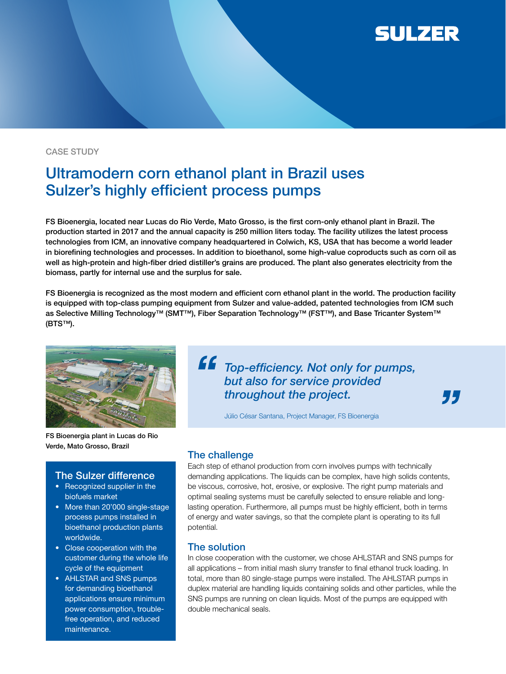

#### CASE STUDY

# Ultramodern corn ethanol plant in Brazil uses Sulzer's highly efficient process pumps

FS Bioenergia, located near Lucas do Rio Verde, Mato Grosso, is the first corn-only ethanol plant in Brazil. The production started in 2017 and the annual capacity is 250 million liters today. The facility utilizes the latest process technologies from ICM, an innovative company headquartered in Colwich, KS, USA that has become a world leader in biorefining technologies and processes. In addition to bioethanol, some high-value coproducts such as corn oil as well as high-protein and high-fiber dried distiller's grains are produced. The plant also generates electricity from the biomass, partly for internal use and the surplus for sale.

FS Bioenergia is recognized as the most modern and efficient corn ethanol plant in the world. The production facility is equipped with top-class pumping equipment from Sulzer and value-added, patented technologies from ICM such as Selective Milling Technology™ (SMT™), Fiber Separation Technology™ (FST™), and Base Tricanter System™ (BTS™).



FS Bioenergia plant in Lucas do Rio Verde, Mato Grosso, Brazil

## The Sulzer difference

- Recognized supplier in the biofuels market
- More than 20'000 single-stage process pumps installed in bioethanol production plants worldwide.
- Close cooperation with the customer during the whole life cycle of the equipment
- AHLSTAR and SNS pumps for demanding bioethanol applications ensure minimum power consumption, troublefree operation, and reduced maintenance.

**ff** Top-efficiency. Not only for pumps, but also for service provided throughout the project.

77

Júlio César Santana, Project Manager, FS Bioenergia

## The challenge

Each step of ethanol production from corn involves pumps with technically demanding applications. The liquids can be complex, have high solids contents, be viscous, corrosive, hot, erosive, or explosive. The right pump materials and optimal sealing systems must be carefully selected to ensure reliable and longlasting operation. Furthermore, all pumps must be highly efficient, both in terms of energy and water savings, so that the complete plant is operating to its full potential.

#### The solution

In close cooperation with the customer, we chose AHLSTAR and SNS pumps for all applications – from initial mash slurry transfer to final ethanol truck loading. In total, more than 80 single-stage pumps were installed. The AHLSTAR pumps in duplex material are handling liquids containing solids and other particles, while the SNS pumps are running on clean liquids. Most of the pumps are equipped with double mechanical seals.